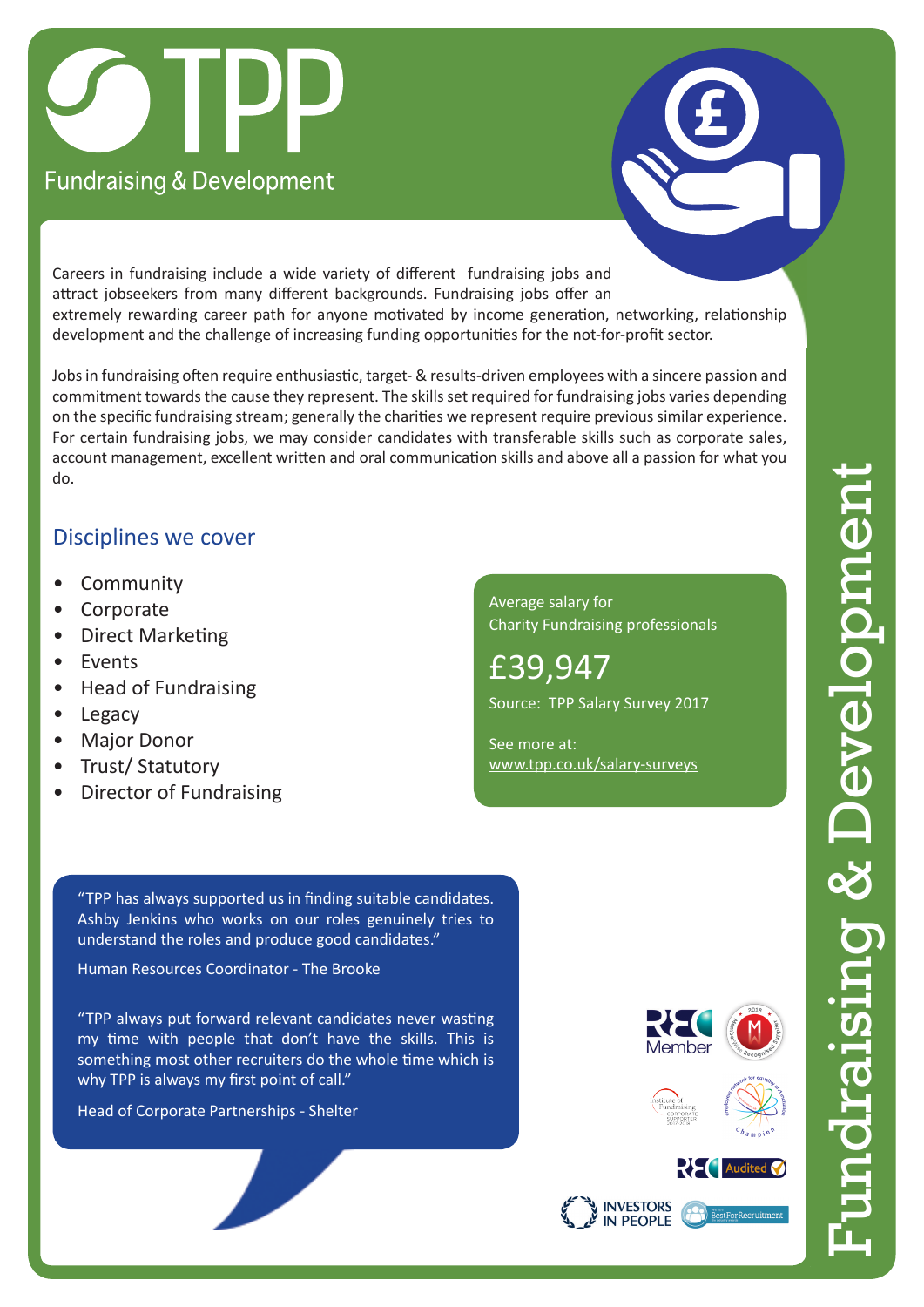



Careers in fundraising include a wide variety of different fundraising jobs and attract jobseekers from many different backgrounds. Fundraising jobs offer an extremely rewarding career path for anyone motivated by income generation, networking, relationship development and the challenge of increasing funding opportunities for the not-for-profit sector.

Jobs in fundraising often require enthusiastic, target- & results-driven employees with a sincere passion and commitment towards the cause they represent. The skills set required for fundraising jobs varies depending on the specific fundraising stream; generally the charities we represent require previous similar experience. For certain fundraising jobs, we may consider candidates with transferable skills such as corporate sales, account management, excellent written and oral communication skills and above all a passion for what you do.

## Disciplines we cover

- **Community**
- **Corporate**
- Direct Marketing
- Events
- Head of Fundraising
- Legacy
- Major Donor
- Trust/ Statutory
- Director of Fundraising

Average salary for Charity Fundraising professionals

£39,947 Source: TPP Salary Survey 2017

See more at: [www.tpp.co.uk/salary-surveys](https://www.tpp.co.uk/employers/salary-surveys-recruitment-advice)

"TPP has always supported us in finding suitable candidates. Ashby Jenkins who works on our roles genuinely tries to understand the roles and produce good candidates."

Human Resources Coordinator - The Brooke

"TPP always put forward relevant candidates never wasting my time with people that don't have the skills. This is something most other recruiters do the whole time which is why TPP is always my first point of call."

Head of Corporate Partnerships - Shelter



Fundraising & Development

 $\frac{1}{10}$ 

& Developm